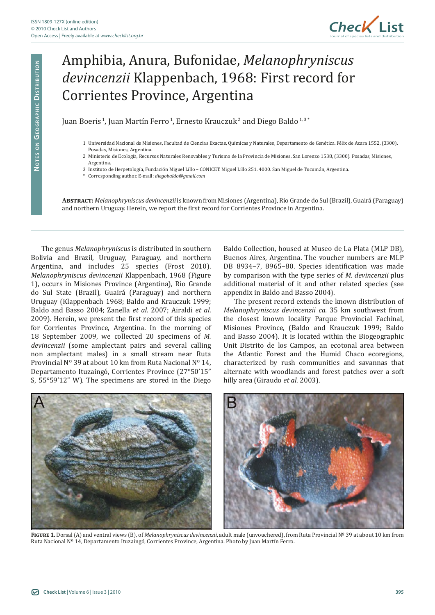

## Amphibia, Anura, Bufonidae, *Melanophryniscus devincenzii* Klappenbach, 1968: First record for Corrientes Province, Argentina

Juan Boeris<sup>1</sup>, Juan Martín Ferro<sup>1</sup>, Ernesto Krauczuk<sup>2</sup> and Diego Baldo<sup>1,3\*</sup>

- 1 Universidad Nacional de Misiones, Facultad de Ciencias Exactas, Químicas y Naturales, Departamento de Genética. Félix de Azara 1552, (3300). Posadas, Misiones, Argentina.
- 2 Ministerio de Ecología, Recursos Naturales Renovables y Turismo de la Provincia de Misiones. San Lorenzo 1538, (3300). Posadas, Misiones, Argentina.
- 3 Instituto de Herpetología, Fundación Miguel Lillo CONICET. Miguel Lillo 251. 4000. San Miguel de Tucumán, Argentina.
- \* Corresponding author. E-mail: *diegobaldo@gmail.com*

**Abstract:** *Melanophryniscus devincenzii* is known from Misiones (Argentina), Rio Grande do Sul (Brazil), Guairá (Paraguay) and northern Uruguay. Herein, we report the first record for Corrientes Province in Argentina.

The genus *Melanophryniscus* is distributed in southern Bolivia and Brazil, Uruguay, Paraguay, and northern Argentina, and includes 25 species (Frost 2010). *Melanophryniscus devincenzii* Klappenbach, 1968 (Figure 1), occurs in Misiones Province (Argentina), Rio Grande do Sul State (Brazil), Guairá (Paraguay) and northern Uruguay (Klappenbach 1968; Baldo and Krauczuk 1999; Baldo and Basso 2004; Zanella *et al*. 2007; Airaldi *et al*. 2009). Herein, we present the first record of this species for Corrientes Province, Argentina. In the morning of 18 September 2009, we collected 20 specimens of *M. devincenzii* (some amplectant pairs and several calling non amplectant males) in a small stream near Ruta Provincial Nº 39 at about 10 km from Ruta Nacional Nº 14, Departamento Ituzaingó, Corrientes Province (27°50'15" S, 55°59'12" W). The specimens are stored in the Diego

Baldo Collection, housed at Museo de La Plata (MLP DB), Buenos Aires, Argentina. The voucher numbers are MLP DB 8934–7, 8965–80. Species identification was made by comparison with the type series of *M. devincenzii* plus additional material of it and other related species (see appendix in Baldo and Basso 2004).

The present record extends the known distribution of *Melanophryniscus devincenzii ca.* 35 km southwest from the closest known locality Parque Provincial Fachinal, Misiones Province, (Baldo and Krauczuk 1999; Baldo and Basso 2004). It is located within the Biogeographic Unit Distrito de los Campos, an ecotonal area between the Atlantic Forest and the Humid Chaco ecoregions, characterized by rush communities and savannas that alternate with woodlands and forest patches over a soft hilly area (Giraudo *et al*. 2003).



**Figure 1.** Dorsal (A) and ventral views (B), of *Melanophryniscus devincenzii*, adult male (unvouchered), from Ruta Provincial Nº 39 at about 10 km from Ruta Nacional Nº 14, Departamento Ituzaingó, Corrientes Province, Argentina. Photo by Juan Martín Ferro.